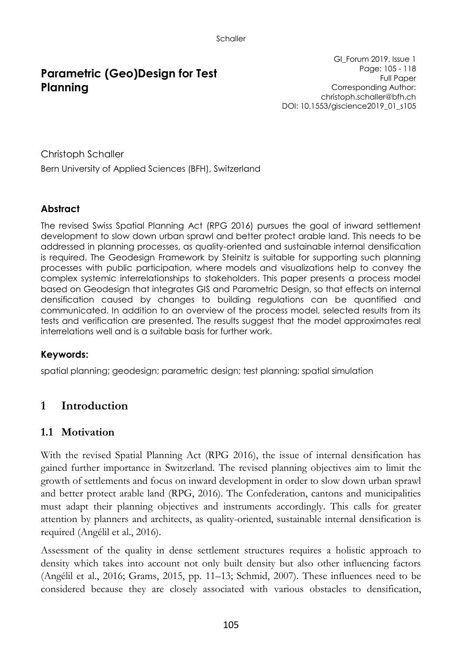# **Parametric (Geo)Design for Test Planning**

GI\_Forum 2019, Issue 1 Page: 105 - 118 Full Paper Corresponding Author: christoph.schaller@bfh.ch DOI: 10.1553/giscience2019\_01\_s105

Christoph Schaller Bern University of Applied Sciences (BFH), Switzerland

### **Abstract**

The revised Swiss Spatial Planning Act (RPG 2016) pursues the goal of inward settlement development to slow down urban sprawl and better protect arable land. This needs to be addressed in planning processes, as quality-oriented and sustainable internal densification is required. The Geodesign Framework by Steinitz is suitable for supporting such planning processes with public participation, where models and visualizations help to convey the complex systemic interrelationships to stakeholders. This paper presents a process model based on Geodesign that integrates GIS and Parametric Design, so that effects on internal densification caused by changes to building regulations can be quantified and communicated. In addition to an overview of the process model, selected results from its tests and verification are presented. The results suggest that the model approximates real interrelations well and is a suitable basis for further work.

#### **Keywords:**

spatial planning; geodesign; parametric design; test planning; spatial simulation

## **1 Introduction**

### **1.1 Motivation**

With the revised Spatial Planning Act (RPG 2016), the issue of internal densification has gained further importance in Switzerland. The revised planning objectives aim to limit the growth of settlements and focus on inward development in order to slow down urban sprawl and better protect arable land (RPG, 2016). The Confederation, cantons and municipalities must adapt their planning objectives and instruments accordingly. This calls for greater attention by planners and architects, as quality-oriented, sustainable internal densification is required (Angélil et al., 2016).

Assessment of the quality in dense settlement structures requires a holistic approach to density which takes into account not only built density but also other influencing factors (Angélil et al., 2016; Grams, 2015, pp. 11–13; Schmid, 2007). These influences need to be considered because they are closely associated with various obstacles to densification,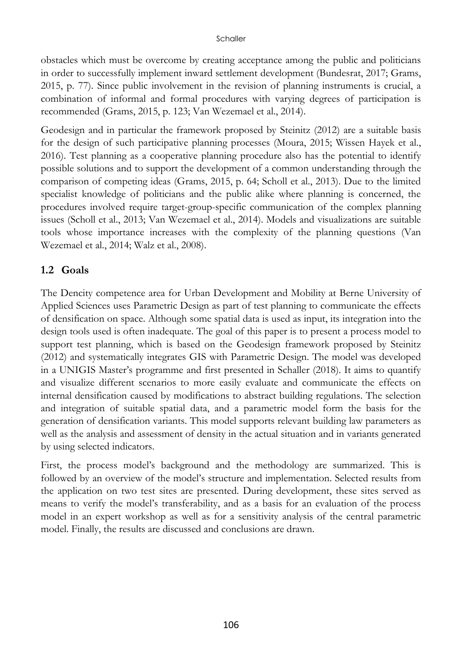obstacles which must be overcome by creating acceptance among the public and politicians in order to successfully implement inward settlement development (Bundesrat, 2017; Grams, 2015, p. 77). Since public involvement in the revision of planning instruments is crucial, a combination of informal and formal procedures with varying degrees of participation is recommended (Grams, 2015, p. 123; Van Wezemael et al., 2014).

Geodesign and in particular the framework proposed by Steinitz (2012) are a suitable basis for the design of such participative planning processes (Moura, 2015; Wissen Hayek et al., 2016). Test planning as a cooperative planning procedure also has the potential to identify possible solutions and to support the development of a common understanding through the comparison of competing ideas (Grams, 2015, p. 64; Scholl et al., 2013). Due to the limited specialist knowledge of politicians and the public alike where planning is concerned, the procedures involved require target-group-specific communication of the complex planning issues (Scholl et al., 2013; Van Wezemael et al., 2014). Models and visualizations are suitable tools whose importance increases with the complexity of the planning questions (Van Wezemael et al., 2014; Walz et al., 2008).

#### **1.2 Goals**

The Dencity competence area for Urban Development and Mobility at Berne University of Applied Sciences uses Parametric Design as part of test planning to communicate the effects of densification on space. Although some spatial data is used as input, its integration into the design tools used is often inadequate. The goal of this paper is to present a process model to support test planning, which is based on the Geodesign framework proposed by Steinitz (2012) and systematically integrates GIS with Parametric Design. The model was developed in a UNIGIS Master's programme and first presented in Schaller (2018). It aims to quantify and visualize different scenarios to more easily evaluate and communicate the effects on internal densification caused by modifications to abstract building regulations. The selection and integration of suitable spatial data, and a parametric model form the basis for the generation of densification variants. This model supports relevant building law parameters as well as the analysis and assessment of density in the actual situation and in variants generated by using selected indicators.

First, the process model's background and the methodology are summarized. This is followed by an overview of the model's structure and implementation. Selected results from the application on two test sites are presented. During development, these sites served as means to verify the model's transferability, and as a basis for an evaluation of the process model in an expert workshop as well as for a sensitivity analysis of the central parametric model. Finally, the results are discussed and conclusions are drawn.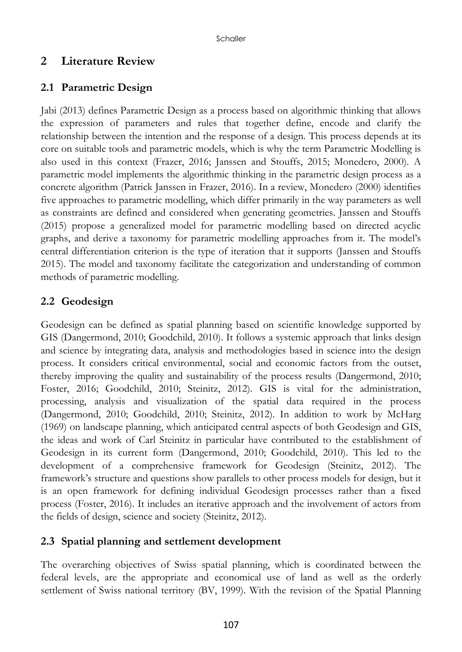## **2 Literature Review**

## **2.1 Parametric Design**

Jabi (2013) defines Parametric Design as a process based on algorithmic thinking that allows the expression of parameters and rules that together define, encode and clarify the relationship between the intention and the response of a design. This process depends at its core on suitable tools and parametric models, which is why the term Parametric Modelling is also used in this context (Frazer, 2016; Janssen and Stouffs, 2015; Monedero, 2000). A parametric model implements the algorithmic thinking in the parametric design process as a concrete algorithm (Patrick Janssen in Frazer, 2016). In a review, Monedero (2000) identifies five approaches to parametric modelling, which differ primarily in the way parameters as well as constraints are defined and considered when generating geometries. Janssen and Stouffs (2015) propose a generalized model for parametric modelling based on directed acyclic graphs, and derive a taxonomy for parametric modelling approaches from it. The model's central differentiation criterion is the type of iteration that it supports (Janssen and Stouffs 2015). The model and taxonomy facilitate the categorization and understanding of common methods of parametric modelling.

## **2.2 Geodesign**

Geodesign can be defined as spatial planning based on scientific knowledge supported by GIS (Dangermond, 2010; Goodchild, 2010). It follows a systemic approach that links design and science by integrating data, analysis and methodologies based in science into the design process. It considers critical environmental, social and economic factors from the outset, thereby improving the quality and sustainability of the process results (Dangermond, 2010; Foster, 2016; Goodchild, 2010; Steinitz, 2012). GIS is vital for the administration, processing, analysis and visualization of the spatial data required in the process (Dangermond, 2010; Goodchild, 2010; Steinitz, 2012). In addition to work by McHarg (1969) on landscape planning, which anticipated central aspects of both Geodesign and GIS, the ideas and work of Carl Steinitz in particular have contributed to the establishment of Geodesign in its current form (Dangermond, 2010; Goodchild, 2010). This led to the development of a comprehensive framework for Geodesign (Steinitz, 2012). The framework's structure and questions show parallels to other process models for design, but it is an open framework for defining individual Geodesign processes rather than a fixed process (Foster, 2016). It includes an iterative approach and the involvement of actors from the fields of design, science and society (Steinitz, 2012).

### **2.3 Spatial planning and settlement development**

The overarching objectives of Swiss spatial planning, which is coordinated between the federal levels, are the appropriate and economical use of land as well as the orderly settlement of Swiss national territory (BV, 1999). With the revision of the Spatial Planning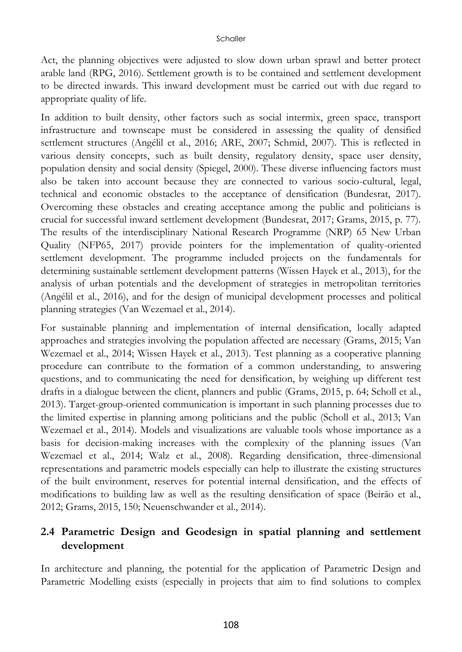Act, the planning objectives were adjusted to slow down urban sprawl and better protect arable land (RPG, 2016). Settlement growth is to be contained and settlement development to be directed inwards. This inward development must be carried out with due regard to appropriate quality of life.

In addition to built density, other factors such as social intermix, green space, transport infrastructure and townscape must be considered in assessing the quality of densified settlement structures (Angélil et al., 2016; ARE, 2007; Schmid, 2007). This is reflected in various density concepts, such as built density, regulatory density, space user density, population density and social density (Spiegel, 2000). These diverse influencing factors must also be taken into account because they are connected to various socio-cultural, legal, technical and economic obstacles to the acceptance of densification (Bundesrat, 2017). Overcoming these obstacles and creating acceptance among the public and politicians is crucial for successful inward settlement development (Bundesrat, 2017; Grams, 2015, p. 77). The results of the interdisciplinary National Research Programme (NRP) 65 New Urban Quality (NFP65, 2017) provide pointers for the implementation of quality-oriented settlement development. The programme included projects on the fundamentals for determining sustainable settlement development patterns (Wissen Hayek et al., 2013), for the analysis of urban potentials and the development of strategies in metropolitan territories (Angélil et al., 2016), and for the design of municipal development processes and political planning strategies (Van Wezemael et al., 2014).

For sustainable planning and implementation of internal densification, locally adapted approaches and strategies involving the population affected are necessary (Grams, 2015; Van Wezemael et al., 2014; Wissen Hayek et al., 2013). Test planning as a cooperative planning procedure can contribute to the formation of a common understanding, to answering questions, and to communicating the need for densification, by weighing up different test drafts in a dialogue between the client, planners and public (Grams, 2015, p. 64; Scholl et al., 2013). Target-group-oriented communication is important in such planning processes due to the limited expertise in planning among politicians and the public (Scholl et al., 2013; Van Wezemael et al., 2014). Models and visualizations are valuable tools whose importance as a basis for decision-making increases with the complexity of the planning issues (Van Wezemael et al., 2014; Walz et al., 2008). Regarding densification, three-dimensional representations and parametric models especially can help to illustrate the existing structures of the built environment, reserves for potential internal densification, and the effects of modifications to building law as well as the resulting densification of space (Beirão et al., 2012; Grams, 2015, 150; Neuenschwander et al., 2014).

## **2.4 Parametric Design and Geodesign in spatial planning and settlement development**

In architecture and planning, the potential for the application of Parametric Design and Parametric Modelling exists (especially in projects that aim to find solutions to complex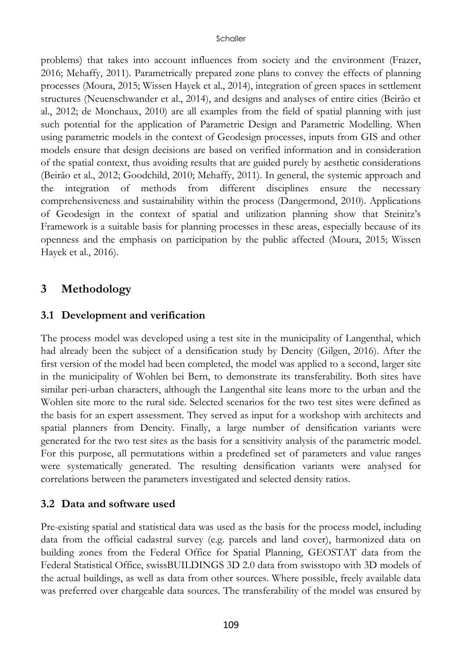problems) that takes into account influences from society and the environment (Frazer, 2016; Mehaffy, 2011). Parametrically prepared zone plans to convey the effects of planning processes (Moura, 2015; Wissen Hayek et al., 2014), integration of green spaces in settlement structures (Neuenschwander et al., 2014), and designs and analyses of entire cities (Beirão et al., 2012; de Monchaux, 2010) are all examples from the field of spatial planning with just such potential for the application of Parametric Design and Parametric Modelling. When using parametric models in the context of Geodesign processes, inputs from GIS and other models ensure that design decisions are based on verified information and in consideration of the spatial context, thus avoiding results that are guided purely by aesthetic considerations (Beirão et al., 2012; Goodchild, 2010; Mehaffy, 2011). In general, the systemic approach and the integration of methods from different disciplines ensure the necessary comprehensiveness and sustainability within the process (Dangermond, 2010). Applications of Geodesign in the context of spatial and utilization planning show that Steinitz's Framework is a suitable basis for planning processes in these areas, especially because of its openness and the emphasis on participation by the public affected (Moura, 2015; Wissen Hayek et al., 2016).

## **3 Methodology**

#### **3.1 Development and verification**

The process model was developed using a test site in the municipality of Langenthal, which had already been the subject of a densification study by Dencity (Gilgen, 2016). After the first version of the model had been completed, the model was applied to a second, larger site in the municipality of Wohlen bei Bern, to demonstrate its transferability. Both sites have similar peri-urban characters, although the Langenthal site leans more to the urban and the Wohlen site more to the rural side. Selected scenarios for the two test sites were defined as the basis for an expert assessment. They served as input for a workshop with architects and spatial planners from Dencity. Finally, a large number of densification variants were generated for the two test sites as the basis for a sensitivity analysis of the parametric model. For this purpose, all permutations within a predefined set of parameters and value ranges were systematically generated. The resulting densification variants were analysed for correlations between the parameters investigated and selected density ratios.

### **3.2 Data and software used**

Pre-existing spatial and statistical data was used as the basis for the process model, including data from the official cadastral survey (e.g. parcels and land cover), harmonized data on building zones from the Federal Office for Spatial Planning, GEOSTAT data from the Federal Statistical Office, swissBUILDINGS 3D 2.0 data from swisstopo with 3D models of the actual buildings, as well as data from other sources. Where possible, freely available data was preferred over chargeable data sources. The transferability of the model was ensured by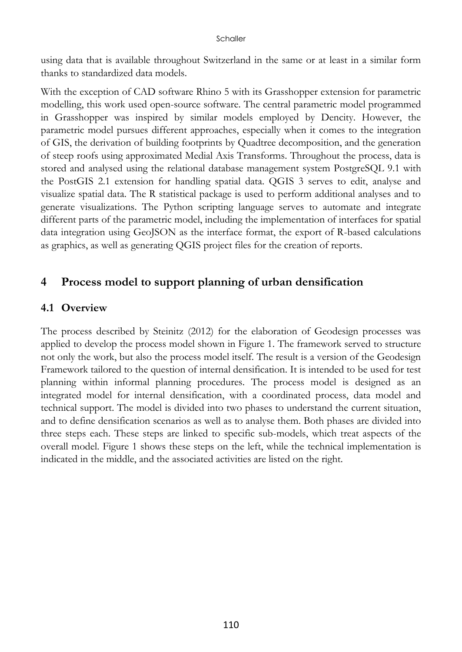using data that is available throughout Switzerland in the same or at least in a similar form thanks to standardized data models.

With the exception of CAD software Rhino 5 with its Grasshopper extension for parametric modelling, this work used open-source software. The central parametric model programmed in Grasshopper was inspired by similar models employed by Dencity. However, the parametric model pursues different approaches, especially when it comes to the integration of GIS, the derivation of building footprints by Quadtree decomposition, and the generation of steep roofs using approximated Medial Axis Transforms. Throughout the process, data is stored and analysed using the relational database management system PostgreSQL 9.1 with the PostGIS 2.1 extension for handling spatial data. QGIS 3 serves to edit, analyse and visualize spatial data. The R statistical package is used to perform additional analyses and to generate visualizations. The Python scripting language serves to automate and integrate different parts of the parametric model, including the implementation of interfaces for spatial data integration using GeoJSON as the interface format, the export of R-based calculations as graphics, as well as generating QGIS project files for the creation of reports.

## **4 Process model to support planning of urban densification**

#### **4.1 Overview**

The process described by Steinitz (2012) for the elaboration of Geodesign processes was applied to develop the process model shown in Figure 1. The framework served to structure not only the work, but also the process model itself. The result is a version of the Geodesign Framework tailored to the question of internal densification. It is intended to be used for test planning within informal planning procedures. The process model is designed as an integrated model for internal densification, with a coordinated process, data model and technical support. The model is divided into two phases to understand the current situation, and to define densification scenarios as well as to analyse them. Both phases are divided into three steps each. These steps are linked to specific sub-models, which treat aspects of the overall model. Figure 1 shows these steps on the left, while the technical implementation is indicated in the middle, and the associated activities are listed on the right.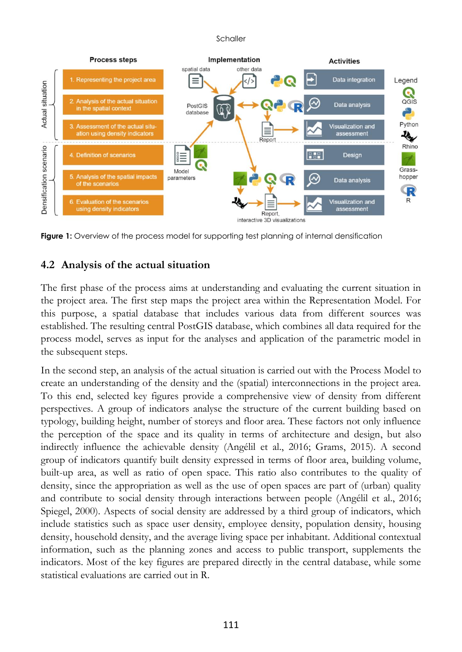

**Figure 1:** Overview of the process model for supporting test planning of internal densification

#### **4.2 Analysis of the actual situation**

The first phase of the process aims at understanding and evaluating the current situation in the project area. The first step maps the project area within the Representation Model. For this purpose, a spatial database that includes various data from different sources was established. The resulting central PostGIS database, which combines all data required for the process model, serves as input for the analyses and application of the parametric model in the subsequent steps.

In the second step, an analysis of the actual situation is carried out with the Process Model to create an understanding of the density and the (spatial) interconnections in the project area. To this end, selected key figures provide a comprehensive view of density from different perspectives. A group of indicators analyse the structure of the current building based on typology, building height, number of storeys and floor area. These factors not only influence the perception of the space and its quality in terms of architecture and design, but also indirectly influence the achievable density (Angélil et al., 2016; Grams, 2015). A second group of indicators quantify built density expressed in terms of floor area, building volume, built-up area, as well as ratio of open space. This ratio also contributes to the quality of density, since the appropriation as well as the use of open spaces are part of (urban) quality and contribute to social density through interactions between people (Angélil et al., 2016; Spiegel, 2000). Aspects of social density are addressed by a third group of indicators, which include statistics such as space user density, employee density, population density, housing density, household density, and the average living space per inhabitant. Additional contextual information, such as the planning zones and access to public transport, supplements the indicators. Most of the key figures are prepared directly in the central database, while some statistical evaluations are carried out in R.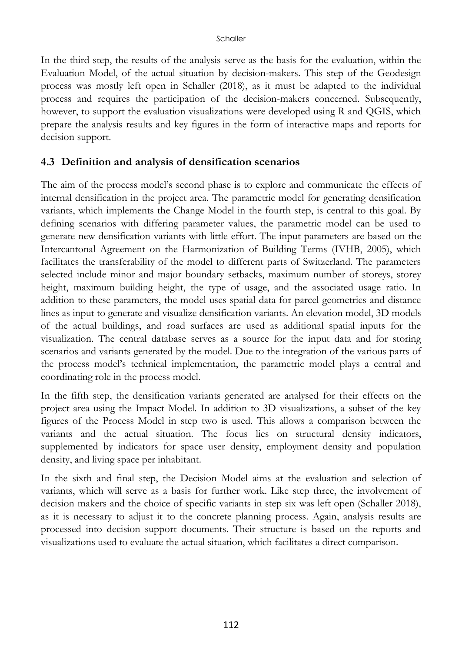In the third step, the results of the analysis serve as the basis for the evaluation, within the Evaluation Model, of the actual situation by decision-makers. This step of the Geodesign process was mostly left open in Schaller (2018), as it must be adapted to the individual process and requires the participation of the decision-makers concerned. Subsequently, however, to support the evaluation visualizations were developed using R and QGIS, which prepare the analysis results and key figures in the form of interactive maps and reports for decision support.

#### **4.3 Definition and analysis of densification scenarios**

The aim of the process model's second phase is to explore and communicate the effects of internal densification in the project area. The parametric model for generating densification variants, which implements the Change Model in the fourth step, is central to this goal. By defining scenarios with differing parameter values, the parametric model can be used to generate new densification variants with little effort. The input parameters are based on the Intercantonal Agreement on the Harmonization of Building Terms (IVHB, 2005), which facilitates the transferability of the model to different parts of Switzerland. The parameters selected include minor and major boundary setbacks, maximum number of storeys, storey height, maximum building height, the type of usage, and the associated usage ratio. In addition to these parameters, the model uses spatial data for parcel geometries and distance lines as input to generate and visualize densification variants. An elevation model, 3D models of the actual buildings, and road surfaces are used as additional spatial inputs for the visualization. The central database serves as a source for the input data and for storing scenarios and variants generated by the model. Due to the integration of the various parts of the process model's technical implementation, the parametric model plays a central and coordinating role in the process model.

In the fifth step, the densification variants generated are analysed for their effects on the project area using the Impact Model. In addition to 3D visualizations, a subset of the key figures of the Process Model in step two is used. This allows a comparison between the variants and the actual situation. The focus lies on structural density indicators, supplemented by indicators for space user density, employment density and population density, and living space per inhabitant.

In the sixth and final step, the Decision Model aims at the evaluation and selection of variants, which will serve as a basis for further work. Like step three, the involvement of decision makers and the choice of specific variants in step six was left open (Schaller 2018), as it is necessary to adjust it to the concrete planning process. Again, analysis results are processed into decision support documents. Their structure is based on the reports and visualizations used to evaluate the actual situation, which facilitates a direct comparison.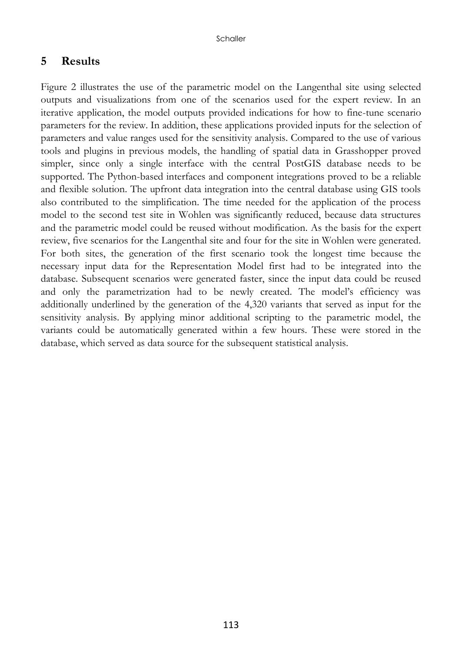#### **5 Results**

Figure 2 illustrates the use of the parametric model on the Langenthal site using selected outputs and visualizations from one of the scenarios used for the expert review. In an iterative application, the model outputs provided indications for how to fine-tune scenario parameters for the review. In addition, these applications provided inputs for the selection of parameters and value ranges used for the sensitivity analysis. Compared to the use of various tools and plugins in previous models, the handling of spatial data in Grasshopper proved simpler, since only a single interface with the central PostGIS database needs to be supported. The Python-based interfaces and component integrations proved to be a reliable and flexible solution. The upfront data integration into the central database using GIS tools also contributed to the simplification. The time needed for the application of the process model to the second test site in Wohlen was significantly reduced, because data structures and the parametric model could be reused without modification. As the basis for the expert review, five scenarios for the Langenthal site and four for the site in Wohlen were generated. For both sites, the generation of the first scenario took the longest time because the necessary input data for the Representation Model first had to be integrated into the database. Subsequent scenarios were generated faster, since the input data could be reused and only the parametrization had to be newly created. The model's efficiency was additionally underlined by the generation of the 4,320 variants that served as input for the sensitivity analysis. By applying minor additional scripting to the parametric model, the variants could be automatically generated within a few hours. These were stored in the database, which served as data source for the subsequent statistical analysis.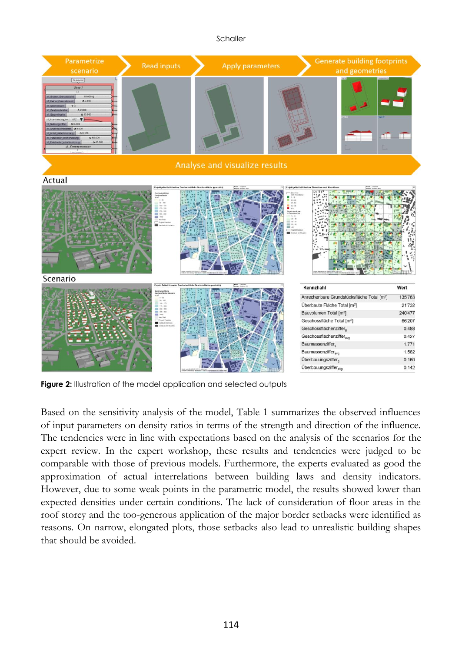

**Figure 2:** Illustration of the model application and selected outputs

Based on the sensitivity analysis of the model, Table 1 summarizes the observed influences of input parameters on density ratios in terms of the strength and direction of the influence. The tendencies were in line with expectations based on the analysis of the scenarios for the expert review. In the expert workshop, these results and tendencies were judged to be comparable with those of previous models. Furthermore, the experts evaluated as good the approximation of actual interrelations between building laws and density indicators. However, due to some weak points in the parametric model, the results showed lower than expected densities under certain conditions. The lack of consideration of floor areas in the roof storey and the too-generous application of the major border setbacks were identified as reasons. On narrow, elongated plots, those setbacks also lead to unrealistic building shapes that should be avoided.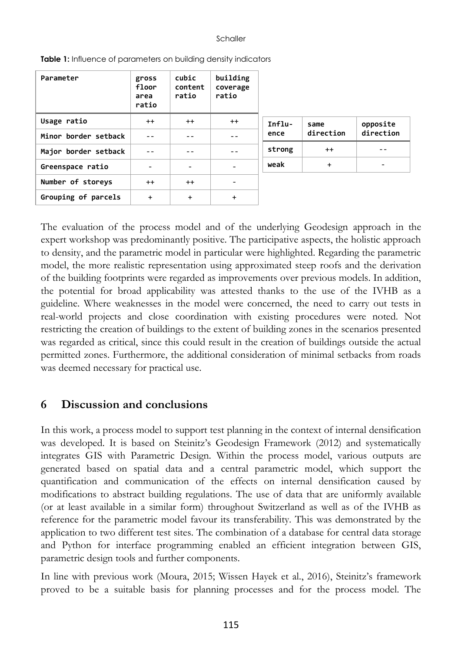| Parameter            | gross<br>floor<br>area<br>ratio | cubic<br>content<br>ratio | building<br>coverage<br>ratio |                  |                   |                       |
|----------------------|---------------------------------|---------------------------|-------------------------------|------------------|-------------------|-----------------------|
| Usage ratio          | $^{++}$                         | $^{++}$                   | $^{++}$                       | $Influ-$<br>ence | same<br>direction | opposite<br>direction |
| Minor border setback |                                 |                           |                               |                  |                   |                       |
| Major border setback |                                 |                           | $ -$                          | strong           | $^{++}$           |                       |
| Greenspace ratio     |                                 |                           | $\overline{\phantom{0}}$      | weak             | $+$               |                       |
| Number of storeys    | $^{++}$                         | $^{++}$                   | $\overline{\phantom{0}}$      |                  |                   |                       |
| Grouping of parcels  | $\ddot{}$                       | $\ddot{}$                 | $\ddot{}$                     |                  |                   |                       |

**Table 1:** Influence of parameters on building density indicators

The evaluation of the process model and of the underlying Geodesign approach in the expert workshop was predominantly positive. The participative aspects, the holistic approach to density, and the parametric model in particular were highlighted. Regarding the parametric model, the more realistic representation using approximated steep roofs and the derivation of the building footprints were regarded as improvements over previous models. In addition, the potential for broad applicability was attested thanks to the use of the IVHB as a guideline. Where weaknesses in the model were concerned, the need to carry out tests in real-world projects and close coordination with existing procedures were noted. Not restricting the creation of buildings to the extent of building zones in the scenarios presented was regarded as critical, since this could result in the creation of buildings outside the actual permitted zones. Furthermore, the additional consideration of minimal setbacks from roads was deemed necessary for practical use.

#### **6 Discussion and conclusions**

In this work, a process model to support test planning in the context of internal densification was developed. It is based on Steinitz's Geodesign Framework (2012) and systematically integrates GIS with Parametric Design. Within the process model, various outputs are generated based on spatial data and a central parametric model, which support the quantification and communication of the effects on internal densification caused by modifications to abstract building regulations. The use of data that are uniformly available (or at least available in a similar form) throughout Switzerland as well as of the IVHB as reference for the parametric model favour its transferability. This was demonstrated by the application to two different test sites. The combination of a database for central data storage and Python for interface programming enabled an efficient integration between GIS, parametric design tools and further components.

In line with previous work (Moura, 2015; Wissen Hayek et al., 2016), Steinitz's framework proved to be a suitable basis for planning processes and for the process model. The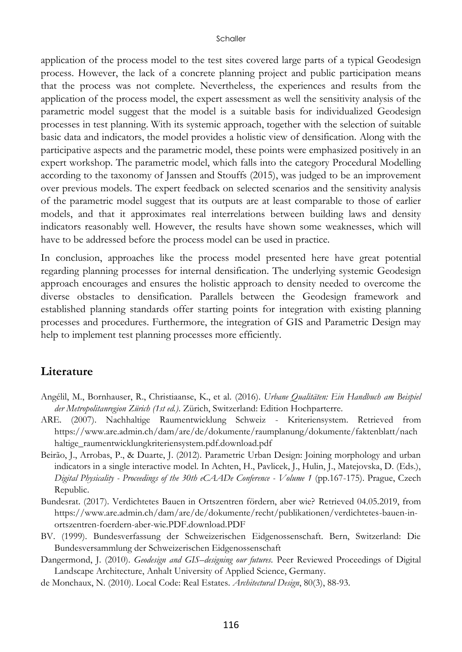application of the process model to the test sites covered large parts of a typical Geodesign process. However, the lack of a concrete planning project and public participation means that the process was not complete. Nevertheless, the experiences and results from the application of the process model, the expert assessment as well the sensitivity analysis of the parametric model suggest that the model is a suitable basis for individualized Geodesign processes in test planning. With its systemic approach, together with the selection of suitable basic data and indicators, the model provides a holistic view of densification. Along with the participative aspects and the parametric model, these points were emphasized positively in an expert workshop. The parametric model, which falls into the category Procedural Modelling according to the taxonomy of Janssen and Stouffs (2015), was judged to be an improvement over previous models. The expert feedback on selected scenarios and the sensitivity analysis of the parametric model suggest that its outputs are at least comparable to those of earlier models, and that it approximates real interrelations between building laws and density indicators reasonably well. However, the results have shown some weaknesses, which will have to be addressed before the process model can be used in practice.

In conclusion, approaches like the process model presented here have great potential regarding planning processes for internal densification. The underlying systemic Geodesign approach encourages and ensures the holistic approach to density needed to overcome the diverse obstacles to densification. Parallels between the Geodesign framework and established planning standards offer starting points for integration with existing planning processes and procedures. Furthermore, the integration of GIS and Parametric Design may help to implement test planning processes more efficiently.

#### **Literature**

- Angélil, M., Bornhauser, R., Christiaanse, K., et al. (2016). *Urbane Qualitäten: Ein Handbuch am Beispiel der Metropolitanregion Zürich (1st ed.)*. Zürich, Switzerland: Edition Hochparterre.
- ARE. (2007). Nachhaltige Raumentwicklung Schweiz Kriteriensystem. Retrieved from https://www.are.admin.ch/dam/are/de/dokumente/raumplanung/dokumente/faktenblatt/nach haltige\_raumentwicklungkriteriensystem.pdf.download.pdf
- Beirão, J., Arrobas, P., & Duarte, J. (2012). Parametric Urban Design: Joining morphology and urban indicators in a single interactive model. In Achten, H., Pavlicek, J., Hulin, J., Matejovska, D. (Eds.), *Digital Physicality - Proceedings of the 30th eCAADe Conference - Volume 1* (pp.167-175). Prague, Czech Republic.
- Bundesrat. (2017). Verdichtetes Bauen in Ortszentren fördern, aber wie? Retrieved 04.05.2019, from https://www.are.admin.ch/dam/are/de/dokumente/recht/publikationen/verdichtetes-bauen-inortszentren-foerdern-aber-wie.PDF.download.PDF
- BV. (1999). Bundesverfassung der Schweizerischen Eidgenossenschaft. Bern, Switzerland: Die Bundesversammlung der Schweizerischen Eidgenossenschaft
- Dangermond, J. (2010). *Geodesign and GIS–designing our futures.* Peer Reviewed Proceedings of Digital Landscape Architecture, Anhalt University of Applied Science, Germany.
- de Monchaux, N. (2010). Local Code: Real Estates. *Architectural Design*, 80(3), 88-93.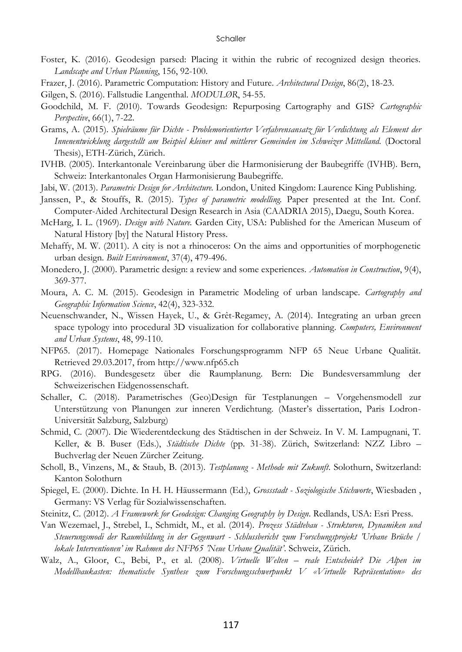- Foster, K. (2016). Geodesign parsed: Placing it within the rubric of recognized design theories. *Landscape and Urban Planning*, 156, 92-100.
- Frazer, J. (2016). Parametric Computation: History and Future. *Architectural Design*, 86(2), 18-23.

Gilgen, S. (2016). Fallstudie Langenthal. *MODULØR*, 54-55.

- Goodchild, M. F. (2010). Towards Geodesign: Repurposing Cartography and GIS? *Cartographic Perspective*, 66(1), 7-22.
- Grams, A. (2015). *Spielräume für Dichte - Problemorientierter Verfahrensansatz für Verdichtung als Element der Innenentwicklung dargestellt am Beispiel kleiner und mittlerer Gemeinden im Schweizer Mittelland.* (Doctoral Thesis), ETH-Zürich, Zürich.
- IVHB. (2005). Interkantonale Vereinbarung über die Harmonisierung der Baubegriffe (IVHB). Bern, Schweiz: Interkantonales Organ Harmonisierung Baubegriffe.
- Jabi, W. (2013). *Parametric Design for Architecture.* London, United Kingdom: Laurence King Publishing.
- Janssen, P., & Stouffs, R. (2015). *Types of parametric modelling.* Paper presented at the Int. Conf. Computer-Aided Architectural Design Research in Asia (CAADRIA 2015), Daegu, South Korea.
- McHarg, I. L. (1969). *Design with Nature.* Garden City, USA: Published for the American Museum of Natural History [by] the Natural History Press.
- Mehaffy, M. W. (2011). A city is not a rhinoceros: On the aims and opportunities of morphogenetic urban design. *Built Environment*, 37(4), 479-496.
- Monedero, J. (2000). Parametric design: a review and some experiences. *Automation in Construction*, 9(4), 369-377.
- Moura, A. C. M. (2015). Geodesign in Parametric Modeling of urban landscape. *Cartography and Geographic Information Science*, 42(4), 323-332.
- Neuenschwander, N., Wissen Hayek, U., & Grêt-Regamey, A. (2014). Integrating an urban green space typology into procedural 3D visualization for collaborative planning. *Computers, Environment and Urban Systems*, 48, 99-110.
- NFP65. (2017). Homepage Nationales Forschungsprogramm NFP 65 Neue Urbane Qualität. Retrieved 29.03.2017, from http://www.nfp65.ch
- RPG. (2016). Bundesgesetz über die Raumplanung. Bern: Die Bundesversammlung der Schweizerischen Eidgenossenschaft.
- Schaller, C. (2018). Parametrisches (Geo)Design für Testplanungen Vorgehensmodell zur Unterstützung von Planungen zur inneren Verdichtung. (Master's dissertation, Paris Lodron-Universität Salzburg, Salzburg)
- Schmid, C. (2007). Die Wiederentdeckung des Städtischen in der Schweiz. In V. M. Lampugnani, T. Keller, & B. Buser (Eds.), *Städtische Dichte* (pp. 31-38). Zürich, Switzerland: NZZ Libro – Buchverlag der Neuen Zürcher Zeitung.
- Scholl, B., Vinzens, M., & Staub, B. (2013). *Testplanung - Methode mit Zukunft*. Solothurn, Switzerland: Kanton Solothurn
- Spiegel, E. (2000). Dichte. In H. H. Häussermann (Ed.), *Grossstadt - Soziologische Stichworte*, Wiesbaden , Germany: VS Verlag für Sozialwissenschaften.
- Steinitz, C. (2012). *A Framework for Geodesign: Changing Geography by Design*. Redlands, USA: Esri Press.
- Van Wezemael, J., Strebel, I., Schmidt, M., et al. (2014). *Prozess Städtebau - Strukturen, Dynamiken und Steuerungsmodi der Raumbildung in der Gegenwart - Schlussbericht zum Forschungsprojekt 'Urbane Brüche / lokale Interventionen' im Rahmen des NFP65 'Neue Urbane Qualität'*. Schweiz, Zürich.
- Walz, A., Gloor, C., Bebi, P., et al. (2008). *Virtuelle Welten – reale Entscheide? Die Alpen im Modellbaukasten: thematische Synthese zum Forschungsschwerpunkt V «Virtuelle Repräsentation» des*